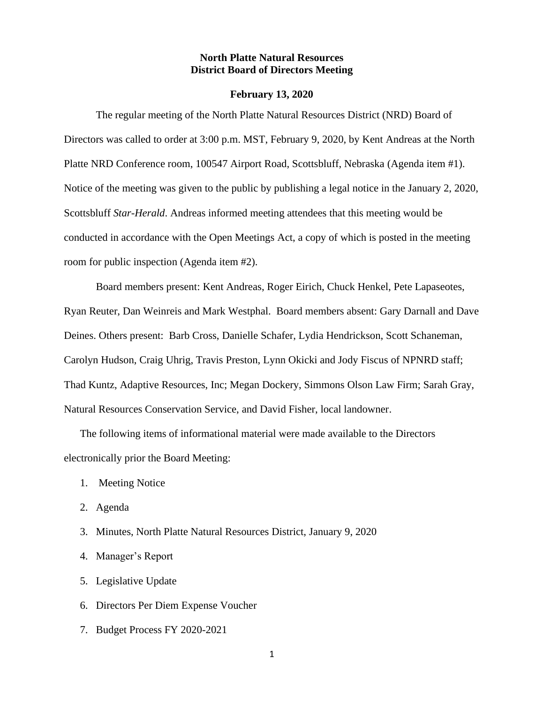# **North Platte Natural Resources District Board of Directors Meeting**

#### **February 13, 2020**

The regular meeting of the North Platte Natural Resources District (NRD) Board of Directors was called to order at 3:00 p.m. MST, February 9, 2020, by Kent Andreas at the North Platte NRD Conference room, 100547 Airport Road, Scottsbluff, Nebraska (Agenda item #1). Notice of the meeting was given to the public by publishing a legal notice in the January 2, 2020, Scottsbluff *Star-Herald*. Andreas informed meeting attendees that this meeting would be conducted in accordance with the Open Meetings Act, a copy of which is posted in the meeting room for public inspection (Agenda item #2).

Board members present: Kent Andreas, Roger Eirich, Chuck Henkel, Pete Lapaseotes, Ryan Reuter, Dan Weinreis and Mark Westphal. Board members absent: Gary Darnall and Dave Deines. Others present: Barb Cross, Danielle Schafer, Lydia Hendrickson, Scott Schaneman, Carolyn Hudson, Craig Uhrig, Travis Preston, Lynn Okicki and Jody Fiscus of NPNRD staff; Thad Kuntz, Adaptive Resources, Inc; Megan Dockery, Simmons Olson Law Firm; Sarah Gray, Natural Resources Conservation Service, and David Fisher, local landowner.

The following items of informational material were made available to the Directors electronically prior the Board Meeting:

- 1. Meeting Notice
- 2. Agenda
- 3. Minutes, North Platte Natural Resources District, January 9, 2020
- 4. Manager's Report
- 5. Legislative Update
- 6. Directors Per Diem Expense Voucher
- 7. Budget Process FY 2020-2021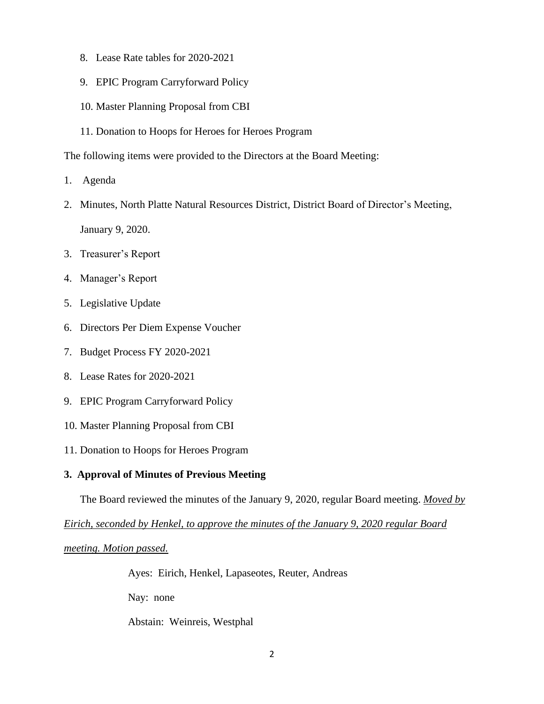- 8. Lease Rate tables for 2020-2021
- 9. EPIC Program Carryforward Policy
- 10. Master Planning Proposal from CBI
- 11. Donation to Hoops for Heroes for Heroes Program

The following items were provided to the Directors at the Board Meeting:

- 1. Agenda
- 2. Minutes, North Platte Natural Resources District, District Board of Director's Meeting, January 9, 2020.
- 3. Treasurer's Report
- 4. Manager's Report
- 5. Legislative Update
- 6. Directors Per Diem Expense Voucher
- 7. Budget Process FY 2020-2021
- 8. Lease Rates for 2020-2021
- 9. EPIC Program Carryforward Policy
- 10. Master Planning Proposal from CBI
- 11. Donation to Hoops for Heroes Program

#### **3. Approval of Minutes of Previous Meeting**

The Board reviewed the minutes of the January 9, 2020, regular Board meeting. *Moved by*

*Eirich, seconded by Henkel, to approve the minutes of the January 9, 2020 regular Board* 

*meeting. Motion passed.*

Ayes: Eirich, Henkel, Lapaseotes, Reuter, Andreas

Nay: none

Abstain: Weinreis, Westphal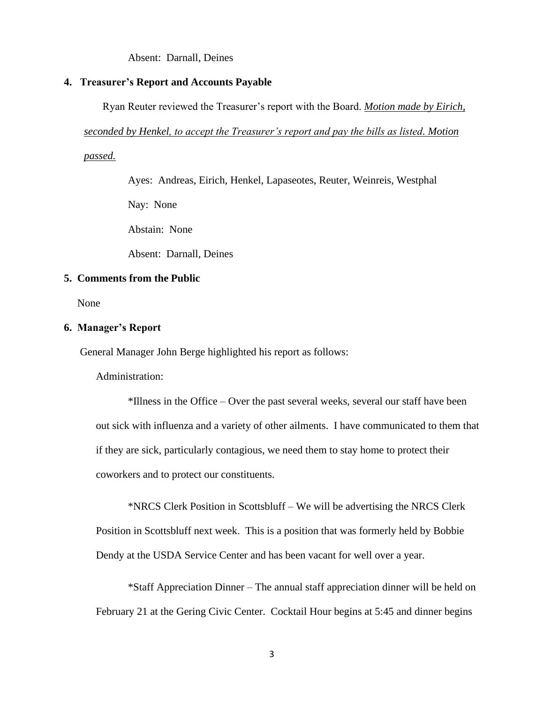Absent: Darnall, Deines

#### **4. Treasurer's Report and Accounts Payable**

Ryan Reuter reviewed the Treasurer's report with the Board. *Motion made by Eirich,* 

*seconded by Henkel, to accept the Treasurer's report and pay the bills as listed. Motion* 

*passed.*

Ayes: Andreas, Eirich, Henkel, Lapaseotes, Reuter, Weinreis, Westphal

Nay: None

Abstain: None

Absent: Darnall, Deines

# **5. Comments from the Public**

None

# **6. Manager's Report**

General Manager John Berge highlighted his report as follows:

Administration:

\*Illness in the Office – Over the past several weeks, several our staff have been out sick with influenza and a variety of other ailments. I have communicated to them that if they are sick, particularly contagious, we need them to stay home to protect their coworkers and to protect our constituents.

\*NRCS Clerk Position in Scottsbluff – We will be advertising the NRCS Clerk Position in Scottsbluff next week. This is a position that was formerly held by Bobbie Dendy at the USDA Service Center and has been vacant for well over a year.

\*Staff Appreciation Dinner – The annual staff appreciation dinner will be held on February 21 at the Gering Civic Center. Cocktail Hour begins at 5:45 and dinner begins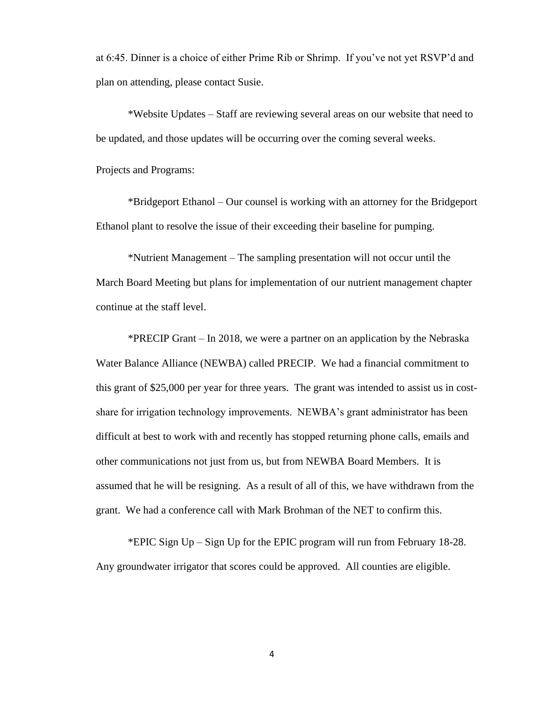at 6:45. Dinner is a choice of either Prime Rib or Shrimp. If you've not yet RSVP'd and plan on attending, please contact Susie.

\*Website Updates – Staff are reviewing several areas on our website that need to be updated, and those updates will be occurring over the coming several weeks.

Projects and Programs:

\*Bridgeport Ethanol – Our counsel is working with an attorney for the Bridgeport Ethanol plant to resolve the issue of their exceeding their baseline for pumping.

\*Nutrient Management – The sampling presentation will not occur until the March Board Meeting but plans for implementation of our nutrient management chapter continue at the staff level.

\*PRECIP Grant – In 2018, we were a partner on an application by the Nebraska Water Balance Alliance (NEWBA) called PRECIP. We had a financial commitment to this grant of \$25,000 per year for three years. The grant was intended to assist us in costshare for irrigation technology improvements. NEWBA's grant administrator has been difficult at best to work with and recently has stopped returning phone calls, emails and other communications not just from us, but from NEWBA Board Members. It is assumed that he will be resigning. As a result of all of this, we have withdrawn from the grant. We had a conference call with Mark Brohman of the NET to confirm this.

\*EPIC Sign Up – Sign Up for the EPIC program will run from February 18-28. Any groundwater irrigator that scores could be approved. All counties are eligible.

4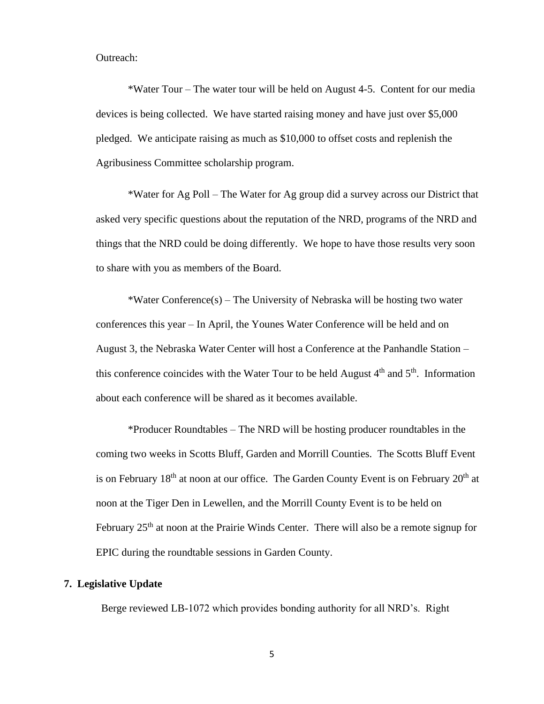#### Outreach:

\*Water Tour – The water tour will be held on August 4-5. Content for our media devices is being collected. We have started raising money and have just over \$5,000 pledged. We anticipate raising as much as \$10,000 to offset costs and replenish the Agribusiness Committee scholarship program.

\*Water for Ag Poll – The Water for Ag group did a survey across our District that asked very specific questions about the reputation of the NRD, programs of the NRD and things that the NRD could be doing differently. We hope to have those results very soon to share with you as members of the Board.

\*Water Conference(s) – The University of Nebraska will be hosting two water conferences this year – In April, the Younes Water Conference will be held and on August 3, the Nebraska Water Center will host a Conference at the Panhandle Station – this conference coincides with the Water Tour to be held August  $4<sup>th</sup>$  and  $5<sup>th</sup>$ . Information about each conference will be shared as it becomes available.

\*Producer Roundtables – The NRD will be hosting producer roundtables in the coming two weeks in Scotts Bluff, Garden and Morrill Counties. The Scotts Bluff Event is on February  $18<sup>th</sup>$  at noon at our office. The Garden County Event is on February  $20<sup>th</sup>$  at noon at the Tiger Den in Lewellen, and the Morrill County Event is to be held on February  $25<sup>th</sup>$  at noon at the Prairie Winds Center. There will also be a remote signup for EPIC during the roundtable sessions in Garden County.

## **7. Legislative Update**

Berge reviewed LB-1072 which provides bonding authority for all NRD's. Right

5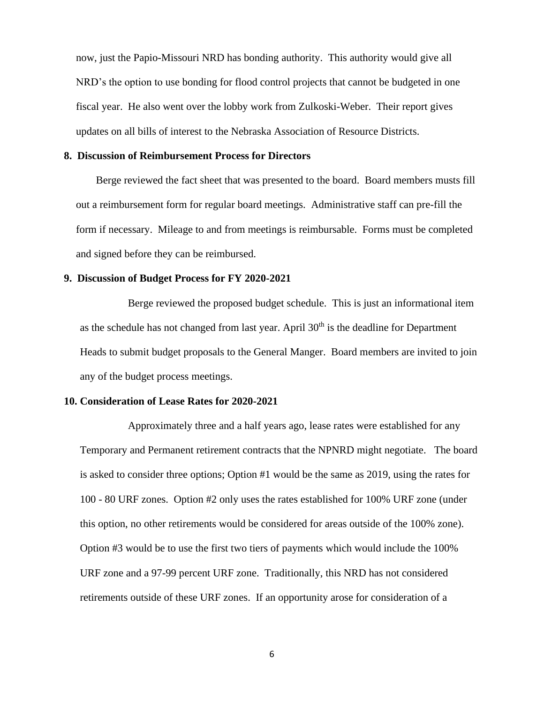now, just the Papio-Missouri NRD has bonding authority. This authority would give all NRD's the option to use bonding for flood control projects that cannot be budgeted in one fiscal year. He also went over the lobby work from Zulkoski-Weber. Their report gives updates on all bills of interest to the Nebraska Association of Resource Districts.

#### **8. Discussion of Reimbursement Process for Directors**

Berge reviewed the fact sheet that was presented to the board. Board members musts fill out a reimbursement form for regular board meetings. Administrative staff can pre-fill the form if necessary. Mileage to and from meetings is reimbursable. Forms must be completed and signed before they can be reimbursed.

# **9. Discussion of Budget Process for FY 2020-2021**

Berge reviewed the proposed budget schedule. This is just an informational item as the schedule has not changed from last year. April  $30<sup>th</sup>$  is the deadline for Department Heads to submit budget proposals to the General Manger. Board members are invited to join any of the budget process meetings.

# **10. Consideration of Lease Rates for 2020-2021**

Approximately three and a half years ago, lease rates were established for any Temporary and Permanent retirement contracts that the NPNRD might negotiate. The board is asked to consider three options; Option #1 would be the same as 2019, using the rates for 100 - 80 URF zones. Option #2 only uses the rates established for 100% URF zone (under this option, no other retirements would be considered for areas outside of the 100% zone). Option #3 would be to use the first two tiers of payments which would include the 100% URF zone and a 97-99 percent URF zone. Traditionally, this NRD has not considered retirements outside of these URF zones. If an opportunity arose for consideration of a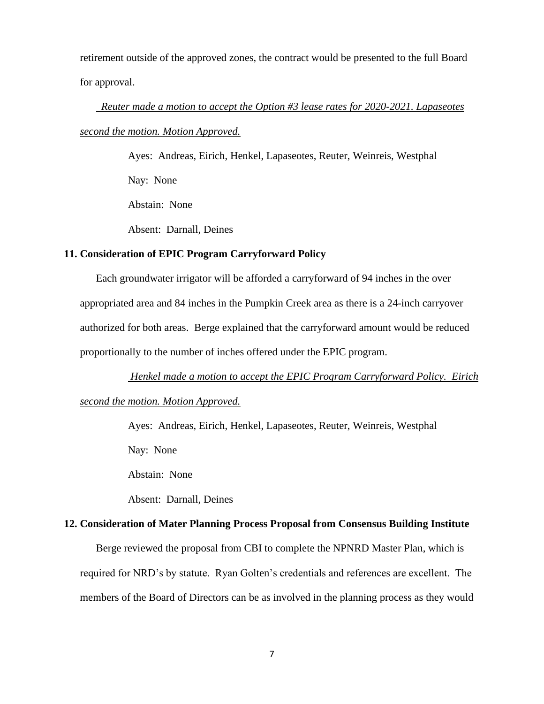retirement outside of the approved zones, the contract would be presented to the full Board for approval.

# *Reuter made a motion to accept the Option #3 lease rates for 2020-2021. Lapaseotes second the motion. Motion Approved.*

Ayes: Andreas, Eirich, Henkel, Lapaseotes, Reuter, Weinreis, Westphal Nay: None Abstain: None

Absent: Darnall, Deines

# **11. Consideration of EPIC Program Carryforward Policy**

Each groundwater irrigator will be afforded a carryforward of 94 inches in the over appropriated area and 84 inches in the Pumpkin Creek area as there is a 24-inch carryover authorized for both areas. Berge explained that the carryforward amount would be reduced proportionally to the number of inches offered under the EPIC program.

*Henkel made a motion to accept the EPIC Program Carryforward Policy. Eirich*

# *second the motion. Motion Approved.*

Ayes: Andreas, Eirich, Henkel, Lapaseotes, Reuter, Weinreis, Westphal

Nay: None

Abstain: None

Absent: Darnall, Deines

# **12. Consideration of Mater Planning Process Proposal from Consensus Building Institute**

Berge reviewed the proposal from CBI to complete the NPNRD Master Plan, which is

required for NRD's by statute. Ryan Golten's credentials and references are excellent. The members of the Board of Directors can be as involved in the planning process as they would